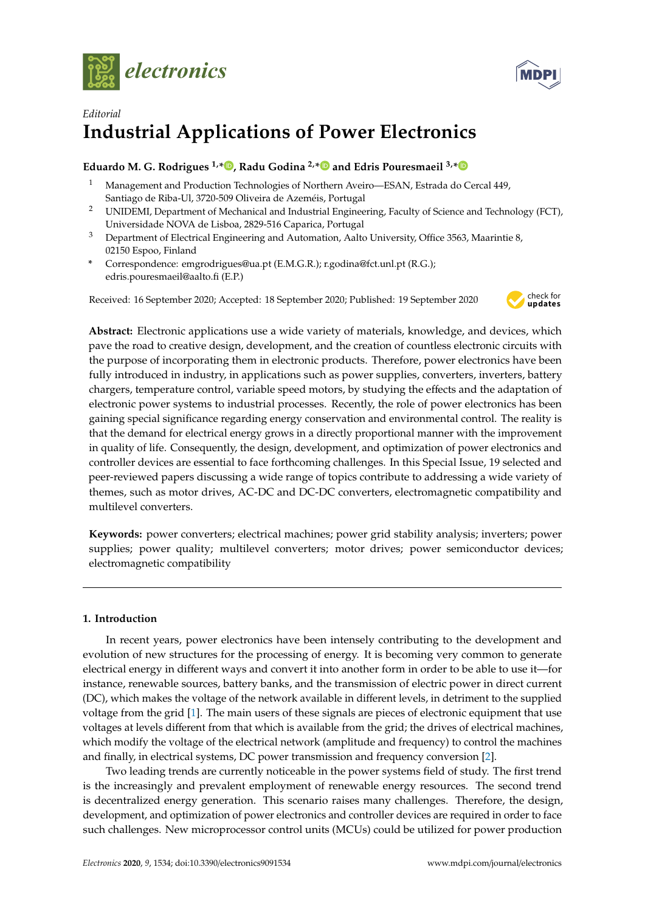



## *Editorial* **Industrial Applications of Power Electronics**

## Eduardo M. G. Rodrigues<sup>1[,](https://orcid.org/0000-0002-4589-5341)[\\*](https://orcid.org/0000-0003-2217-5293)</sup><sup>0</sup>, Radu Godina<sup>2,\*</sup><sup>0</sup> and Edris Pouresmaeil<sup>3,\*</sup><sup>0</sup>

- <sup>1</sup> Management and Production Technologies of Northern Aveiro—ESAN, Estrada do Cercal 449, Santiago de Riba-Ul, 3720-509 Oliveira de Azeméis, Portugal
- <sup>2</sup> UNIDEMI, Department of Mechanical and Industrial Engineering, Faculty of Science and Technology (FCT), Universidade NOVA de Lisboa, 2829-516 Caparica, Portugal
- <sup>3</sup> Department of Electrical Engineering and Automation, Aalto University, Office 3563, Maarintie 8, 02150 Espoo, Finland
- **\*** Correspondence: emgrodrigues@ua.pt (E.M.G.R.); r.godina@fct.unl.pt (R.G.); edris.pouresmaeil@aalto.fi (E.P.)

Received: 16 September 2020; Accepted: 18 September 2020; Published: 19 September 2020



**Abstract:** Electronic applications use a wide variety of materials, knowledge, and devices, which pave the road to creative design, development, and the creation of countless electronic circuits with the purpose of incorporating them in electronic products. Therefore, power electronics have been fully introduced in industry, in applications such as power supplies, converters, inverters, battery chargers, temperature control, variable speed motors, by studying the effects and the adaptation of electronic power systems to industrial processes. Recently, the role of power electronics has been gaining special significance regarding energy conservation and environmental control. The reality is that the demand for electrical energy grows in a directly proportional manner with the improvement in quality of life. Consequently, the design, development, and optimization of power electronics and controller devices are essential to face forthcoming challenges. In this Special Issue, 19 selected and peer-reviewed papers discussing a wide range of topics contribute to addressing a wide variety of themes, such as motor drives, AC-DC and DC-DC converters, electromagnetic compatibility and multilevel converters.

**Keywords:** power converters; electrical machines; power grid stability analysis; inverters; power supplies; power quality; multilevel converters; motor drives; power semiconductor devices; electromagnetic compatibility

## **1. Introduction**

In recent years, power electronics have been intensely contributing to the development and evolution of new structures for the processing of energy. It is becoming very common to generate electrical energy in different ways and convert it into another form in order to be able to use it—for instance, renewable sources, battery banks, and the transmission of electric power in direct current (DC), which makes the voltage of the network available in different levels, in detriment to the supplied voltage from the grid [\[1\]](#page-3-0). The main users of these signals are pieces of electronic equipment that use voltages at levels different from that which is available from the grid; the drives of electrical machines, which modify the voltage of the electrical network (amplitude and frequency) to control the machines and finally, in electrical systems, DC power transmission and frequency conversion [\[2\]](#page-3-1).

Two leading trends are currently noticeable in the power systems field of study. The first trend is the increasingly and prevalent employment of renewable energy resources. The second trend is decentralized energy generation. This scenario raises many challenges. Therefore, the design, development, and optimization of power electronics and controller devices are required in order to face such challenges. New microprocessor control units (MCUs) could be utilized for power production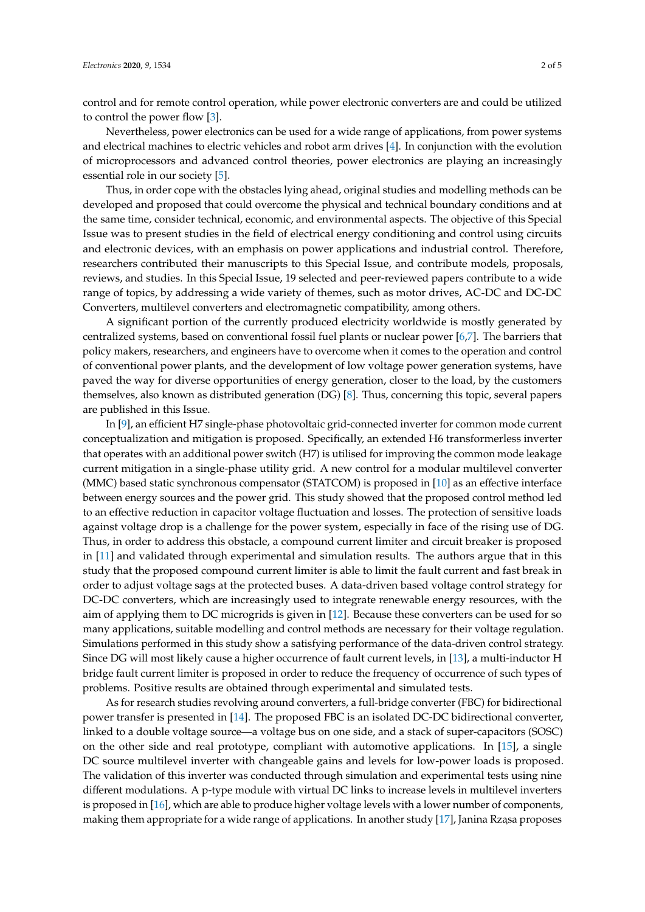control and for remote control operation, while power electronic converters are and could be utilized to control the power flow [\[3\]](#page-3-2).

Nevertheless, power electronics can be used for a wide range of applications, from power systems and electrical machines to electric vehicles and robot arm drives [\[4\]](#page-3-3). In conjunction with the evolution of microprocessors and advanced control theories, power electronics are playing an increasingly essential role in our society [\[5\]](#page-3-4).

Thus, in order cope with the obstacles lying ahead, original studies and modelling methods can be developed and proposed that could overcome the physical and technical boundary conditions and at the same time, consider technical, economic, and environmental aspects. The objective of this Special Issue was to present studies in the field of electrical energy conditioning and control using circuits and electronic devices, with an emphasis on power applications and industrial control. Therefore, researchers contributed their manuscripts to this Special Issue, and contribute models, proposals, reviews, and studies. In this Special Issue, 19 selected and peer-reviewed papers contribute to a wide range of topics, by addressing a wide variety of themes, such as motor drives, AC-DC and DC-DC Converters, multilevel converters and electromagnetic compatibility, among others.

A significant portion of the currently produced electricity worldwide is mostly generated by centralized systems, based on conventional fossil fuel plants or nuclear power [\[6,](#page-3-5)[7\]](#page-3-6). The barriers that policy makers, researchers, and engineers have to overcome when it comes to the operation and control of conventional power plants, and the development of low voltage power generation systems, have paved the way for diverse opportunities of energy generation, closer to the load, by the customers themselves, also known as distributed generation (DG) [\[8\]](#page-3-7). Thus, concerning this topic, several papers are published in this Issue.

In [\[9\]](#page-3-8), an efficient H7 single-phase photovoltaic grid-connected inverter for common mode current conceptualization and mitigation is proposed. Specifically, an extended H6 transformerless inverter that operates with an additional power switch (H7) is utilised for improving the common mode leakage current mitigation in a single-phase utility grid. A new control for a modular multilevel converter (MMC) based static synchronous compensator (STATCOM) is proposed in [\[10\]](#page-3-9) as an effective interface between energy sources and the power grid. This study showed that the proposed control method led to an effective reduction in capacitor voltage fluctuation and losses. The protection of sensitive loads against voltage drop is a challenge for the power system, especially in face of the rising use of DG. Thus, in order to address this obstacle, a compound current limiter and circuit breaker is proposed in [\[11\]](#page-3-10) and validated through experimental and simulation results. The authors argue that in this study that the proposed compound current limiter is able to limit the fault current and fast break in order to adjust voltage sags at the protected buses. A data-driven based voltage control strategy for DC-DC converters, which are increasingly used to integrate renewable energy resources, with the aim of applying them to DC microgrids is given in [\[12\]](#page-3-11). Because these converters can be used for so many applications, suitable modelling and control methods are necessary for their voltage regulation. Simulations performed in this study show a satisfying performance of the data-driven control strategy. Since DG will most likely cause a higher occurrence of fault current levels, in [\[13\]](#page-4-0), a multi-inductor H bridge fault current limiter is proposed in order to reduce the frequency of occurrence of such types of problems. Positive results are obtained through experimental and simulated tests.

As for research studies revolving around converters, a full-bridge converter (FBC) for bidirectional power transfer is presented in [\[14\]](#page-4-1). The proposed FBC is an isolated DC-DC bidirectional converter, linked to a double voltage source—a voltage bus on one side, and a stack of super-capacitors (SOSC) on the other side and real prototype, compliant with automotive applications. In [\[15\]](#page-4-2), a single DC source multilevel inverter with changeable gains and levels for low-power loads is proposed. The validation of this inverter was conducted through simulation and experimental tests using nine different modulations. A p-type module with virtual DC links to increase levels in multilevel inverters is proposed in [\[16\]](#page-4-3), which are able to produce higher voltage levels with a lower number of components, making them appropriate for a wide range of applications. In another study  $[17]$ , Janina Rz asa proposes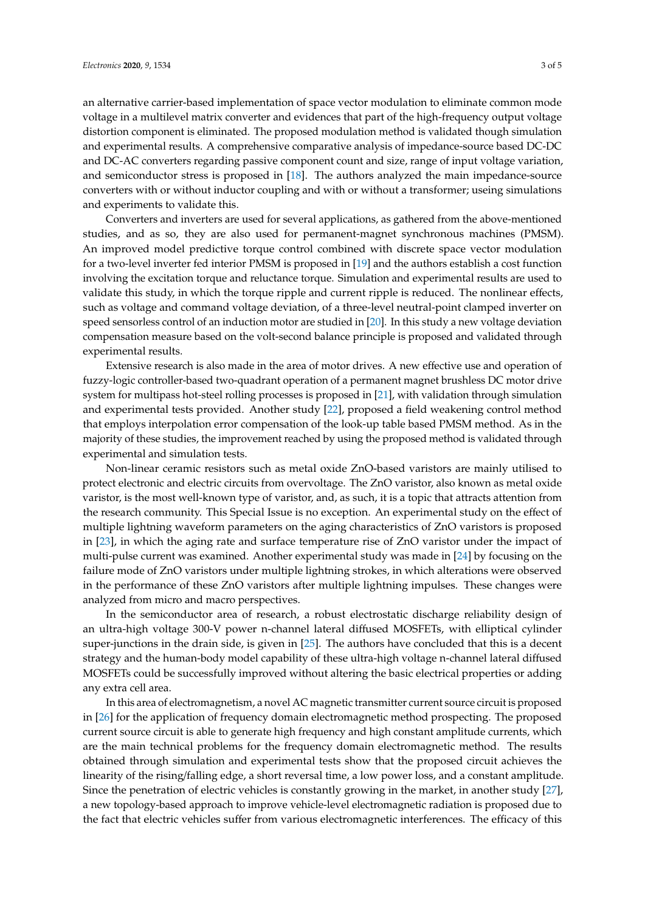an alternative carrier-based implementation of space vector modulation to eliminate common mode voltage in a multilevel matrix converter and evidences that part of the high-frequency output voltage distortion component is eliminated. The proposed modulation method is validated though simulation and experimental results. A comprehensive comparative analysis of impedance-source based DC-DC and DC-AC converters regarding passive component count and size, range of input voltage variation, and semiconductor stress is proposed in [\[18\]](#page-4-5). The authors analyzed the main impedance-source converters with or without inductor coupling and with or without a transformer; useing simulations and experiments to validate this.

Converters and inverters are used for several applications, as gathered from the above-mentioned studies, and as so, they are also used for permanent-magnet synchronous machines (PMSM). An improved model predictive torque control combined with discrete space vector modulation for a two-level inverter fed interior PMSM is proposed in [\[19\]](#page-4-6) and the authors establish a cost function involving the excitation torque and reluctance torque. Simulation and experimental results are used to validate this study, in which the torque ripple and current ripple is reduced. The nonlinear effects, such as voltage and command voltage deviation, of a three-level neutral-point clamped inverter on speed sensorless control of an induction motor are studied in [\[20\]](#page-4-7). In this study a new voltage deviation compensation measure based on the volt-second balance principle is proposed and validated through experimental results.

Extensive research is also made in the area of motor drives. A new effective use and operation of fuzzy-logic controller-based two-quadrant operation of a permanent magnet brushless DC motor drive system for multipass hot-steel rolling processes is proposed in [\[21\]](#page-4-8), with validation through simulation and experimental tests provided. Another study [\[22\]](#page-4-9), proposed a field weakening control method that employs interpolation error compensation of the look-up table based PMSM method. As in the majority of these studies, the improvement reached by using the proposed method is validated through experimental and simulation tests.

Non-linear ceramic resistors such as metal oxide ZnO-based varistors are mainly utilised to protect electronic and electric circuits from overvoltage. The ZnO varistor, also known as metal oxide varistor, is the most well-known type of varistor, and, as such, it is a topic that attracts attention from the research community. This Special Issue is no exception. An experimental study on the effect of multiple lightning waveform parameters on the aging characteristics of ZnO varistors is proposed in [\[23\]](#page-4-10), in which the aging rate and surface temperature rise of ZnO varistor under the impact of multi-pulse current was examined. Another experimental study was made in [\[24\]](#page-4-11) by focusing on the failure mode of ZnO varistors under multiple lightning strokes, in which alterations were observed in the performance of these ZnO varistors after multiple lightning impulses. These changes were analyzed from micro and macro perspectives.

In the semiconductor area of research, a robust electrostatic discharge reliability design of an ultra-high voltage 300-V power n-channel lateral diffused MOSFETs, with elliptical cylinder super-junctions in the drain side, is given in [\[25\]](#page-4-12). The authors have concluded that this is a decent strategy and the human-body model capability of these ultra-high voltage n-channel lateral diffused MOSFETs could be successfully improved without altering the basic electrical properties or adding any extra cell area.

In this area of electromagnetism, a novel AC magnetic transmitter current source circuit is proposed in [\[26\]](#page-4-13) for the application of frequency domain electromagnetic method prospecting. The proposed current source circuit is able to generate high frequency and high constant amplitude currents, which are the main technical problems for the frequency domain electromagnetic method. The results obtained through simulation and experimental tests show that the proposed circuit achieves the linearity of the rising/falling edge, a short reversal time, a low power loss, and a constant amplitude. Since the penetration of electric vehicles is constantly growing in the market, in another study [\[27\]](#page-4-14), a new topology-based approach to improve vehicle-level electromagnetic radiation is proposed due to the fact that electric vehicles suffer from various electromagnetic interferences. The efficacy of this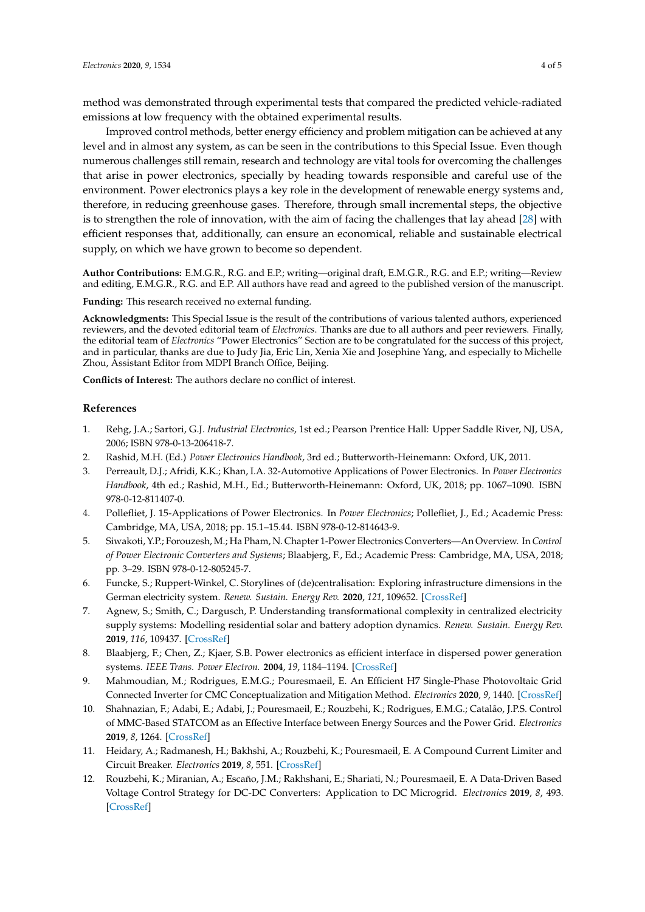method was demonstrated through experimental tests that compared the predicted vehicle-radiated emissions at low frequency with the obtained experimental results.

Improved control methods, better energy efficiency and problem mitigation can be achieved at any level and in almost any system, as can be seen in the contributions to this Special Issue. Even though numerous challenges still remain, research and technology are vital tools for overcoming the challenges that arise in power electronics, specially by heading towards responsible and careful use of the environment. Power electronics plays a key role in the development of renewable energy systems and, therefore, in reducing greenhouse gases. Therefore, through small incremental steps, the objective is to strengthen the role of innovation, with the aim of facing the challenges that lay ahead [\[28\]](#page-4-15) with efficient responses that, additionally, can ensure an economical, reliable and sustainable electrical supply, on which we have grown to become so dependent.

**Author Contributions:** E.M.G.R., R.G. and E.P.; writing—original draft, E.M.G.R., R.G. and E.P.; writing—Review and editing, E.M.G.R., R.G. and E.P. All authors have read and agreed to the published version of the manuscript.

**Funding:** This research received no external funding.

**Acknowledgments:** This Special Issue is the result of the contributions of various talented authors, experienced reviewers, and the devoted editorial team of *Electronics*. Thanks are due to all authors and peer reviewers. Finally, the editorial team of *Electronics* "Power Electronics" Section are to be congratulated for the success of this project, and in particular, thanks are due to Judy Jia, Eric Lin, Xenia Xie and Josephine Yang, and especially to Michelle Zhou, Assistant Editor from MDPI Branch Office, Beijing.

**Conflicts of Interest:** The authors declare no conflict of interest.

## **References**

- <span id="page-3-0"></span>1. Rehg, J.A.; Sartori, G.J. *Industrial Electronics*, 1st ed.; Pearson Prentice Hall: Upper Saddle River, NJ, USA, 2006; ISBN 978-0-13-206418-7.
- <span id="page-3-1"></span>2. Rashid, M.H. (Ed.) *Power Electronics Handbook*, 3rd ed.; Butterworth-Heinemann: Oxford, UK, 2011.
- <span id="page-3-2"></span>3. Perreault, D.J.; Afridi, K.K.; Khan, I.A. 32-Automotive Applications of Power Electronics. In *Power Electronics Handbook*, 4th ed.; Rashid, M.H., Ed.; Butterworth-Heinemann: Oxford, UK, 2018; pp. 1067–1090. ISBN 978-0-12-811407-0.
- <span id="page-3-3"></span>4. Pollefliet, J. 15-Applications of Power Electronics. In *Power Electronics*; Pollefliet, J., Ed.; Academic Press: Cambridge, MA, USA, 2018; pp. 15.1–15.44. ISBN 978-0-12-814643-9.
- <span id="page-3-4"></span>5. Siwakoti, Y.P.; Forouzesh, M.; Ha Pham, N. Chapter 1-Power Electronics Converters—An Overview. In *Control of Power Electronic Converters and Systems*; Blaabjerg, F., Ed.; Academic Press: Cambridge, MA, USA, 2018; pp. 3–29. ISBN 978-0-12-805245-7.
- <span id="page-3-5"></span>6. Funcke, S.; Ruppert-Winkel, C. Storylines of (de)centralisation: Exploring infrastructure dimensions in the German electricity system. *Renew. Sustain. Energy Rev.* **2020**, *121*, 109652. [\[CrossRef\]](http://dx.doi.org/10.1016/j.rser.2019.109652)
- <span id="page-3-6"></span>7. Agnew, S.; Smith, C.; Dargusch, P. Understanding transformational complexity in centralized electricity supply systems: Modelling residential solar and battery adoption dynamics. *Renew. Sustain. Energy Rev.* **2019**, *116*, 109437. [\[CrossRef\]](http://dx.doi.org/10.1016/j.rser.2019.109437)
- <span id="page-3-7"></span>8. Blaabjerg, F.; Chen, Z.; Kjaer, S.B. Power electronics as efficient interface in dispersed power generation systems. *IEEE Trans. Power Electron.* **2004**, *19*, 1184–1194. [\[CrossRef\]](http://dx.doi.org/10.1109/TPEL.2004.833453)
- <span id="page-3-8"></span>9. Mahmoudian, M.; Rodrigues, E.M.G.; Pouresmaeil, E. An Efficient H7 Single-Phase Photovoltaic Grid Connected Inverter for CMC Conceptualization and Mitigation Method. *Electronics* **2020**, *9*, 1440. [\[CrossRef\]](http://dx.doi.org/10.3390/electronics9091440)
- <span id="page-3-9"></span>10. Shahnazian, F.; Adabi, E.; Adabi, J.; Pouresmaeil, E.; Rouzbehi, K.; Rodrigues, E.M.G.; Catalão, J.P.S. Control of MMC-Based STATCOM as an Effective Interface between Energy Sources and the Power Grid. *Electronics* **2019**, *8*, 1264. [\[CrossRef\]](http://dx.doi.org/10.3390/electronics8111264)
- <span id="page-3-10"></span>11. Heidary, A.; Radmanesh, H.; Bakhshi, A.; Rouzbehi, K.; Pouresmaeil, E. A Compound Current Limiter and Circuit Breaker. *Electronics* **2019**, *8*, 551. [\[CrossRef\]](http://dx.doi.org/10.3390/electronics8050551)
- <span id="page-3-11"></span>12. Rouzbehi, K.; Miranian, A.; Escaño, J.M.; Rakhshani, E.; Shariati, N.; Pouresmaeil, E. A Data-Driven Based Voltage Control Strategy for DC-DC Converters: Application to DC Microgrid. *Electronics* **2019**, *8*, 493. [\[CrossRef\]](http://dx.doi.org/10.3390/electronics8050493)